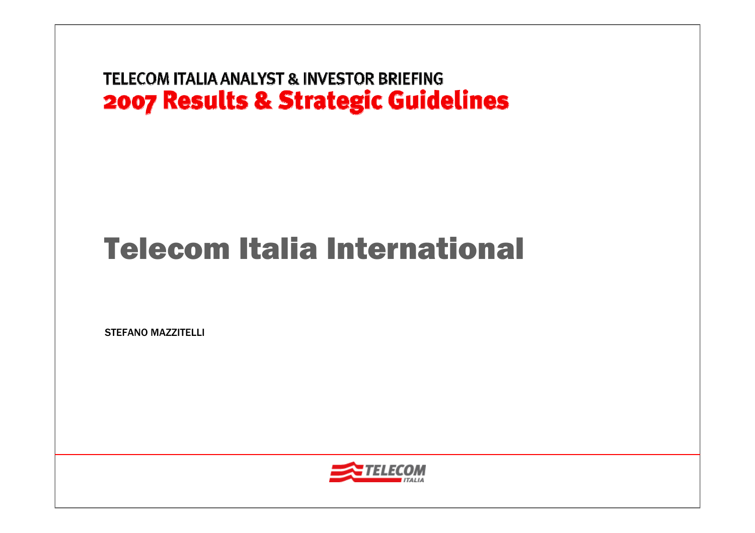# Telecom Italia International

STEFANO MAZZITELLI

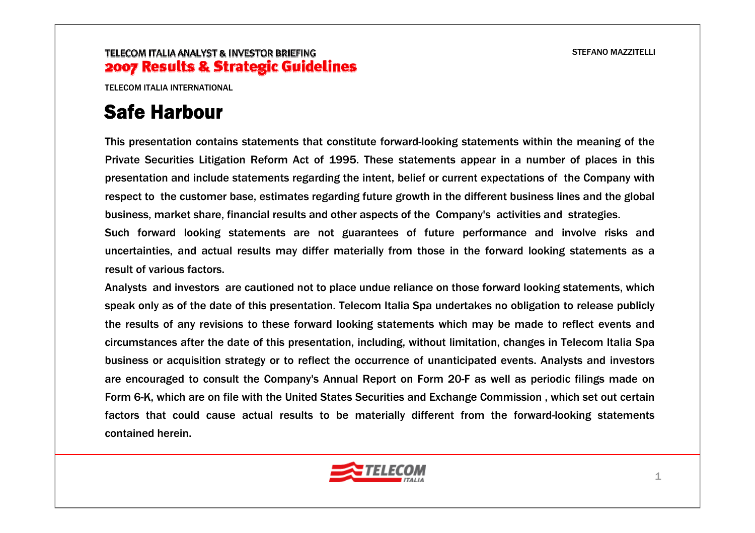TELECOM ITALIA INTERNATIONAL

# Safe Harbour

This presentation contains statements that constitute forward-looking statements within the meaning of the Private Securities Litigation Reform Act of 1995. These statements appear in a number of places in this presentation and include statements regarding the intent, belief or current expectations of the Company with respect to the customer base, estimates regarding future growth in the different business lines and the global business, market share, financial results and other aspects of the Company's activities and strategies.

Such forward looking statements are not guarantees of future performance and involve risks and uncertainties, and actual results may differ materially from those in the forward looking statements as a result of various factors.

Analysts and investors are cautioned not to place undue reliance on those forward looking statements, which speak only as of the date of this presentation. Telecom Italia Spa undertakes no obligation to release publicly the results of any revisions to these forward looking statements which may be made to reflect events and circumstances after the date of this presentation, including, without limitation, changes in Telecom Italia Spa business or acquisition strategy or to reflect the occurrence of unanticipated events. Analysts and investors are encouraged to consult the Company's Annual Report on Form 20-F as well as periodic filings made on Form 6-K, which are on file with the United States Securities and Exchange Commission , which set out certain factors that could cause actual results to be materially different from the forward-looking statements contained herein.

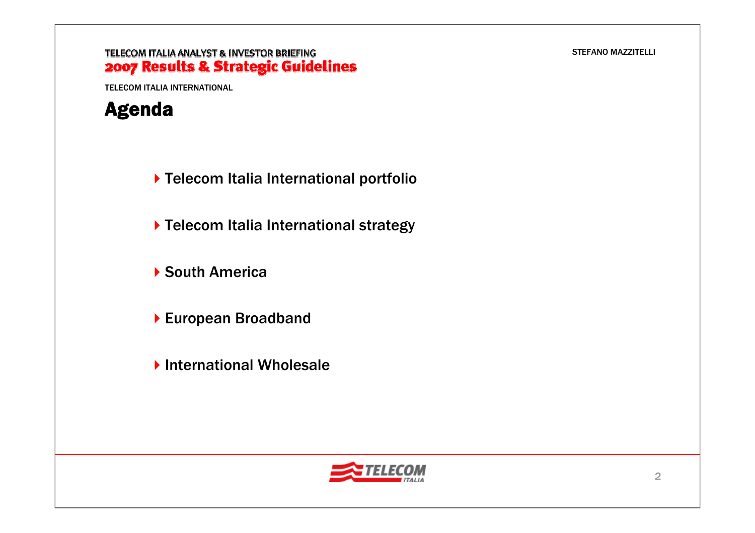#### TELECOM ITALIA ANALYST & INVESTOR BRIEFING 2007 Results & Strategic Guidelines

TELECOM ITALIA INTERNATIONAL

### Agenda

- Telecom Italia International portfolio
- ▶ Telecom Italia International strategy
- ▶ South America
- ▶ European Broadband
- ▶ International Wholesale

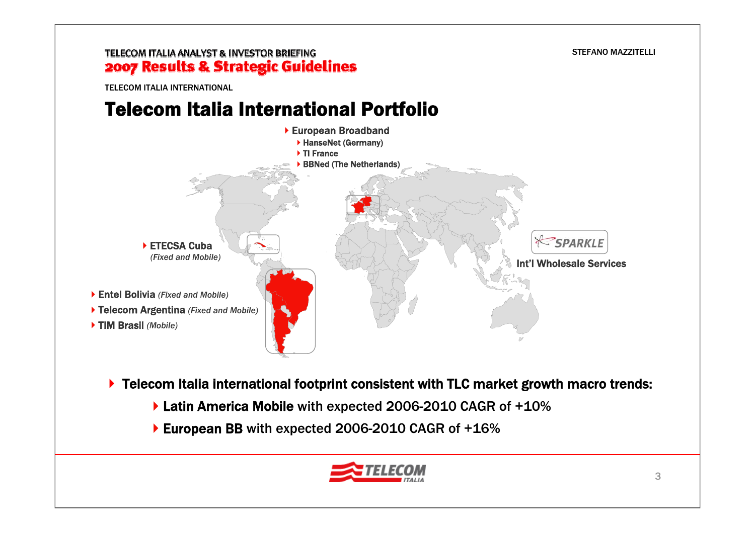### TELECOM ITALIA ANALYST & INVESTOR BRIEFING 2007 Results & Strategic Guidelines

TELECOM ITALIA INTERNATIONAL

### Telecom Italia International Portfolio



- ▶ Telecom Italia international footprint consistent with TLC market growth macro trends:
	- ▶ Latin America Mobile with expected 2006-2010 CAGR of +10%
	- ▶ European BB with expected 2006-2010 CAGR of +16%

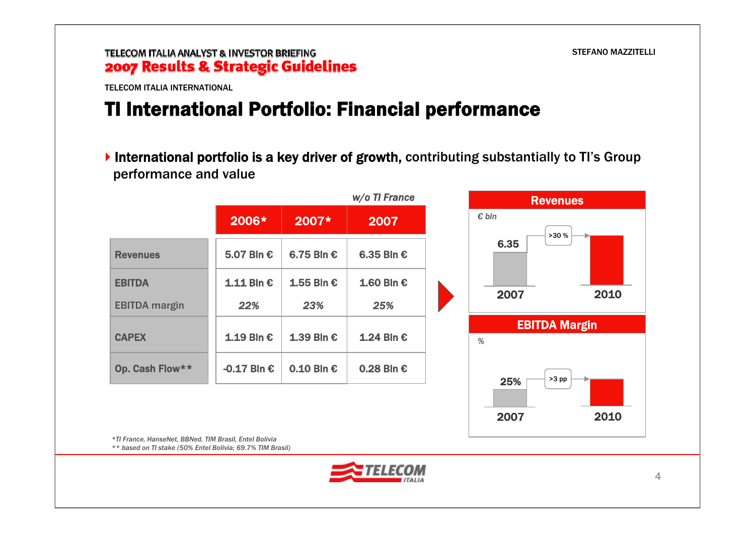TELECOM ITALIA INTERNATIONAL

# TI International Portfolio: Financial performance

International portfolio is a key driver of growth, contributing substantially to TI's Group performance and value

|                      | w/o TI France |              |              |  |  |  |
|----------------------|---------------|--------------|--------------|--|--|--|
|                      | 2006*         | 2007*        | 2007         |  |  |  |
| <b>Revenues</b>      | 5.07 Bln €    | 6.75 Bln €   | 6.35 Bln €   |  |  |  |
| <b>EBITDA</b>        | $1.11$ Bln €  | 1.55 Bln €   | $1.60$ Bln € |  |  |  |
| <b>EBITDA</b> margin | 22%           | 23%          | 25%          |  |  |  |
| <b>CAPEX</b>         | 1.19 Bln €    | 1.39 Bln €   | 1.24 Bln €   |  |  |  |
| Op. Cash Flow**      | -0.17 Bln $€$ | $0.10$ Bln € | $0.28$ Bln € |  |  |  |



*\*TI France, HanseNet, BBNed, TIM Brasil, Entel Bolivia \*\* based on TI stake (50% Entel Bolivia; 69.7% TIM Brasil)*

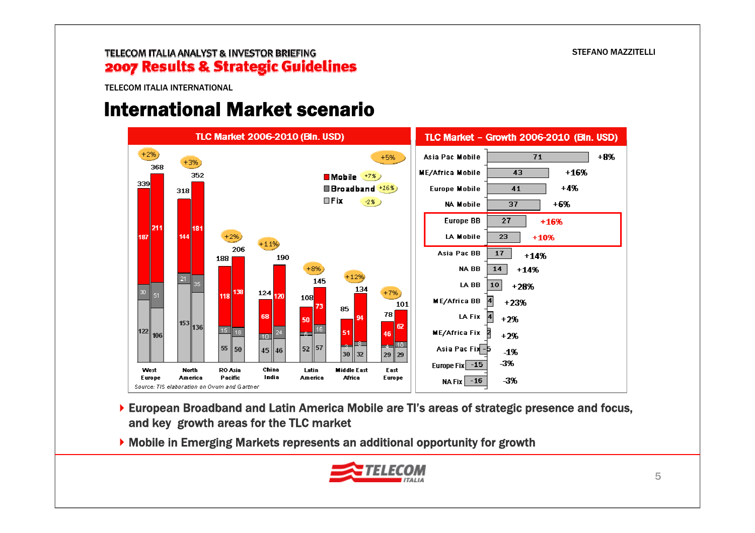TELECOM ITALIA INTERNATIONAL

### International Market scenario



- European Broadband and Latin America Mobile are TI's areas of strategic presence and focus, and key growth areas for the TLC market
- Mobile in Emerging Markets represents an additional opportunity for growth

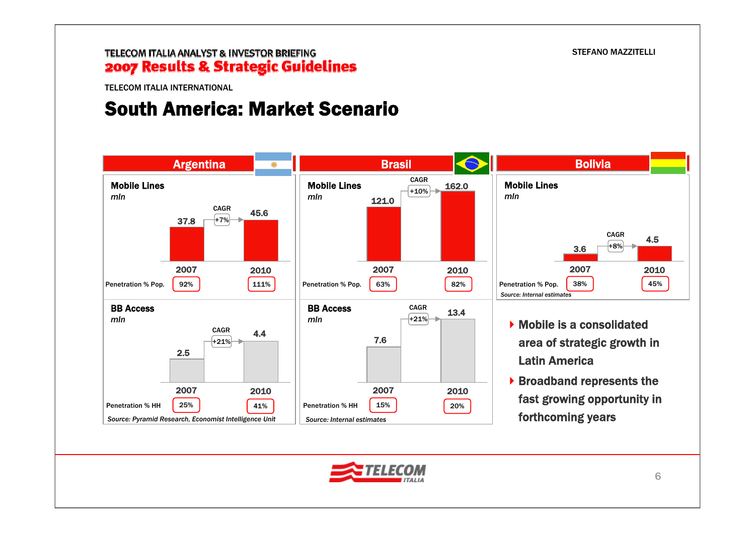#### TELECOM ITALIA ANALYST & INVESTOR BRIEFING 2007 Results & Strategic Guidelines

TELECOM ITALIA INTERNATIONAL

### South America: Market Scenario



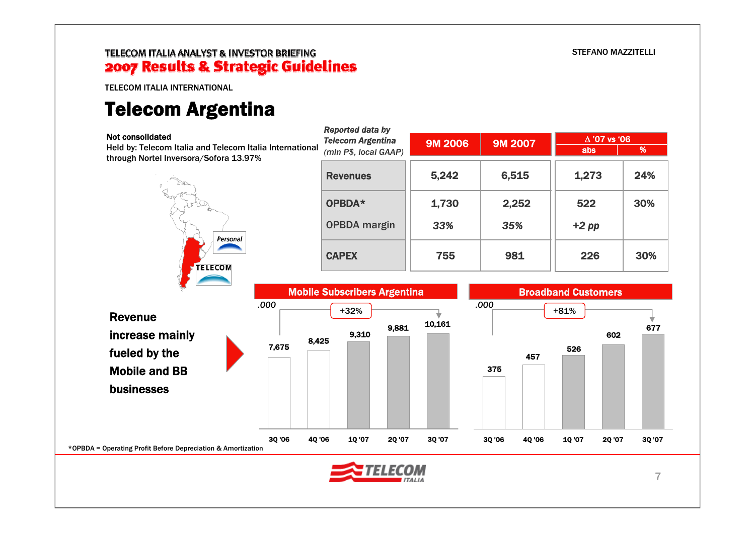TELECOM ITALIA INTERNATIONAL

# Telecom Argentina

| <b>Not consolidated</b>                                                                            | Reported data by<br><b>Telecom Argentina</b><br><b>9M 2006</b> |        | <b>9M 2007</b> | $\Delta$ '07 vs '06        |     |
|----------------------------------------------------------------------------------------------------|----------------------------------------------------------------|--------|----------------|----------------------------|-----|
| Held by: Telecom Italia and Telecom Italia International<br>through Nortel Inversora/Sofora 13.97% | (mln P\$, local GAAP)                                          |        |                | abs                        | %   |
|                                                                                                    | <b>Revenues</b>                                                | 5,242  | 6,515          | 1,273                      | 24% |
|                                                                                                    | OPBDA*                                                         | 1,730  | 2,252          | 522                        | 30% |
| Personal                                                                                           | <b>OPBDA</b> margin                                            | 33%    | 35%            | $+2$ pp                    |     |
|                                                                                                    | <b>CAPEX</b>                                                   | 755    | 981            | 226                        | 30% |
| <b>TELECOM</b>                                                                                     | <b>Mobile Subscribers Argentina</b>                            |        |                | <b>Broadband Customers</b> |     |
|                                                                                                    |                                                                |        |                |                            |     |
| .000                                                                                               |                                                                |        | .000           |                            |     |
| <b>Revenue</b>                                                                                     | $+32%$<br>9,881                                                | 10,161 |                | $+81%$                     |     |
| increase mainly<br>7,675                                                                           | 9,310<br>8,425                                                 |        |                |                            | 602 |
| fueled by the                                                                                      |                                                                |        | 457            | 526                        | 677 |
| <b>Mobile and BB</b>                                                                               |                                                                |        | 375            |                            |     |
| businesses                                                                                         |                                                                |        |                |                            |     |
|                                                                                                    |                                                                |        |                |                            |     |

 $ITALIA$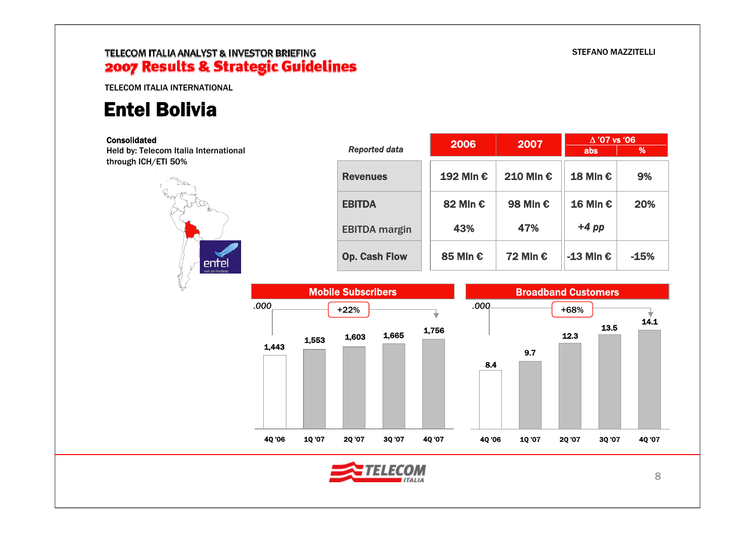### TELECOM ITALIA ANALYST & INVESTOR BRIEFING 2007 Results & Strategic Guidelines

TELECOM ITALIA INTERNATIONAL

# Entel Bolivia

#### Consolidated Held by: Telecom Italia

through ICH/ETI 50%

|               |                      | 2006      | 2007      | $\Delta$ '07 vs '06 |        |
|---------------|----------------------|-----------|-----------|---------------------|--------|
| International | <b>Reported data</b> |           |           | abs                 | %      |
|               | <b>Revenues</b>      | 192 Min € | 210 Mln € | $18$ Min €          | 9%     |
| -12           | <b>EBITDA</b>        | 82 Mln €  | 98 Mln €  | $16$ Mln €          | 20%    |
|               | <b>EBITDA</b> margin | 43%       | 47%       | $+4$ pp             |        |
| entel         | <b>Op. Cash Flow</b> | 85 Mln €  | 72 Mln €  | -13 Mln $\epsilon$  | $-15%$ |



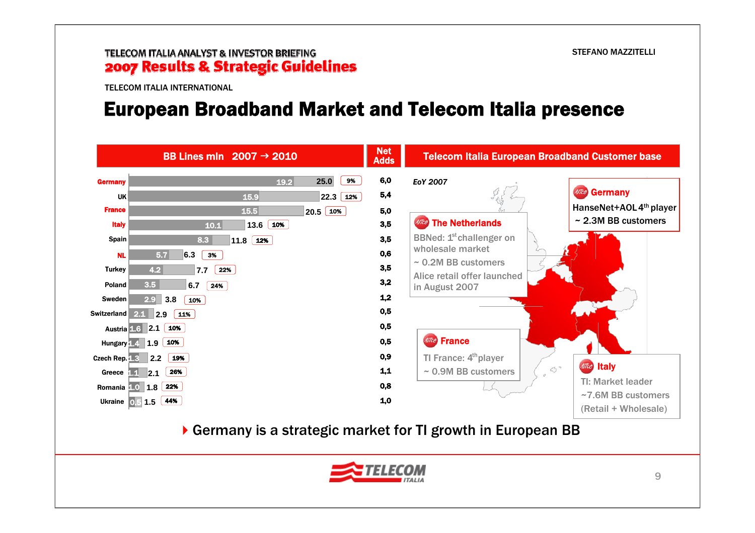TELECOM ITALIA INTERNATIONAL

### European Broadband Market and Telecom Italia presence

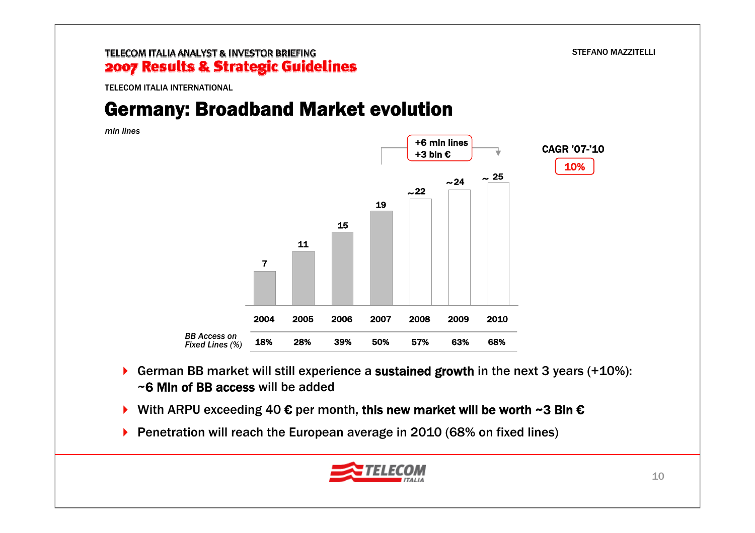TELECOM ITALIA INTERNATIONAL

# Germany: Broadband Market evolution

*mln lines*



- $\blacktriangleright$  German BB market will still experience a sustained growth in the next 3 years (+10%): ~6 Mln of BB access will be added
- $\triangleright$  With ARPU exceeding 40 € per month, this new market will be worth ~3 Bln €
- ▶ Penetration will reach the European average in 2010 (68% on fixed lines)

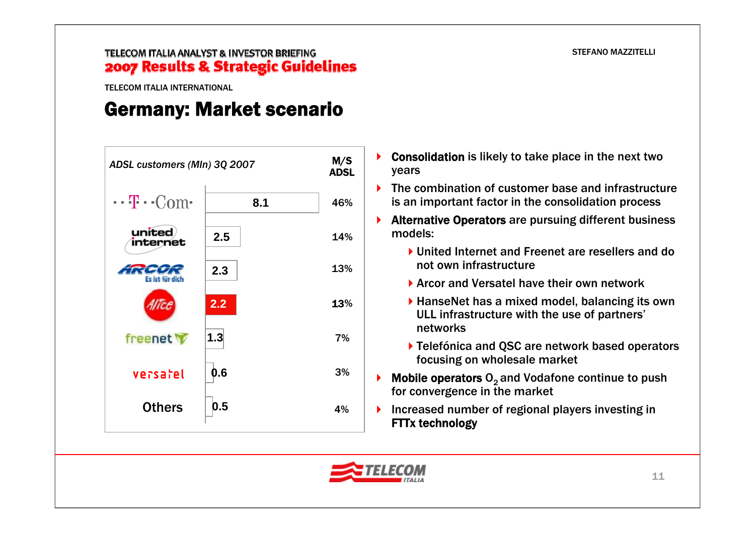TELECOM ITALIA INTERNATIONAL

## Germany: Market scenario



- Consolidation is likely to take place in the next two years
- ▶ The combination of customer base and infrastructure is an important factor in the consolidation process
- ▶ Alternative Operators are pursuing different business models:
	- ▶ United Internet and Freenet are resellers and do not own infrastructure
	- ▶ Arcor and Versatel have their own network
	- ▶ HanseNet has a mixed model, balancing its own ULL infrastructure with the use of partners' networks
	- ▶ Telefónica and QSC are network based operators focusing on wholesale market
- **Mobile operators**  $O<sub>2</sub>$  **and Vodafone continue to push** for convergence in the market
- Increased number of regional players investing in FTTx technology

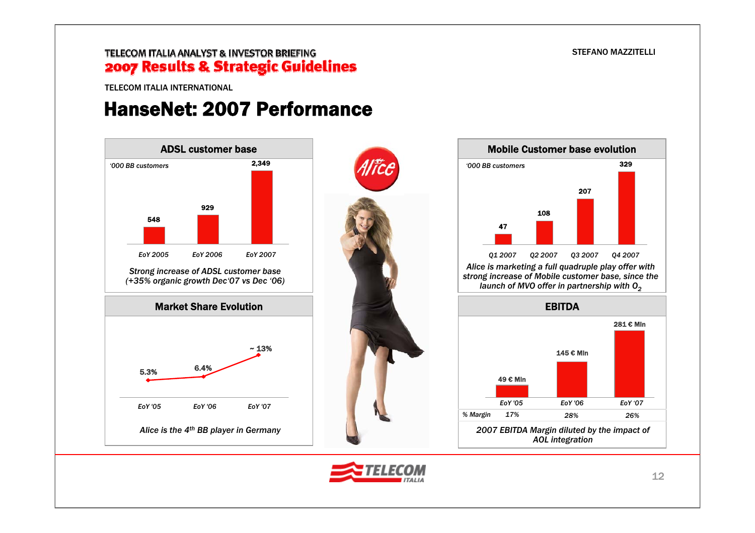#### TELECOM ITALIA ANALYST & INVESTOR BRIEFING 2007 Results & Strategic Guidelines

TELECOM ITALIA INTERNATIONAL

### HanseNet: 2007 Performance







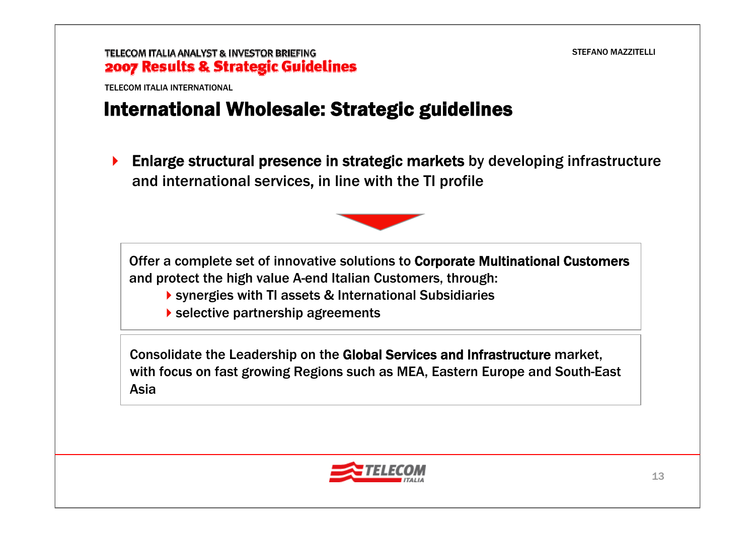TELECOM ITALIA INTERNATIONAL

### International Wholesale: Strategic guidelines

 $\blacktriangleright$  Enlarge structural presence in strategic markets by developing infrastructure and international services, in line with the TI profile



Offer a complete set of innovative solutions to Corporate Multinational Customers and protect the high value A-end Italian Customers, through:

- synergies with TI assets & International Subsidiaries
- selective partnership agreements

Consolidate the Leadership on the Global Services and Infrastructure market, with focus on fast growing Regions such as MEA, Eastern Europe and South-East Asia

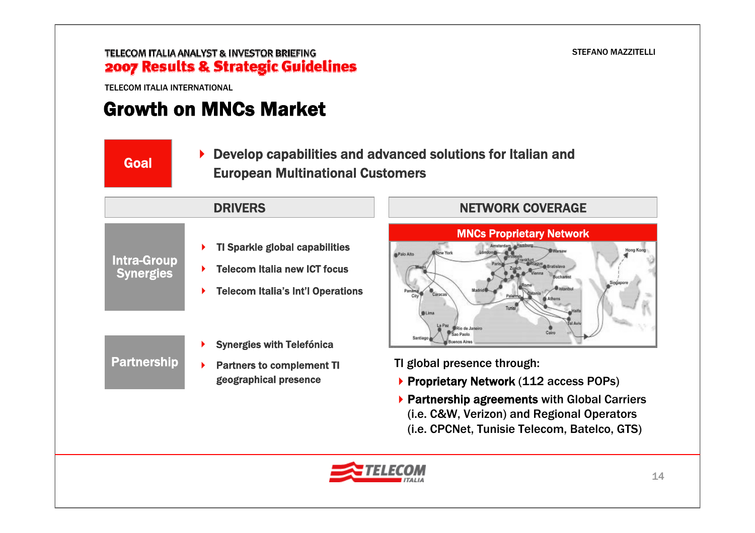TELECOM ITALIA INTERNATIONAL

Partnership

# Growth on MNCs Market

▶ Develop capabilities and advanced solutions for Italian and **Goal European Multinational Customers** 

**B**Palo Alto

### ▶ TI Sparkle global capabilities ▶ Telecom Italia new ICT focus ▶ Telecom Italia's Int'l Operations Intra-Group **Synergies** DRIVERS

- ▶ Synergies with Telefónica
- ▶ Partners to complement TI geographical presence

### NETWORK COVERAGE MNCs Proprietary Network New York

TI global presence through:

Sao Paolo

- ▶ Proprietary Network (112 access POPs)
- ▶ Partnership agreements with Global Carriers (i.e. C&W, Verizon) and Regional Operators (i.e. CPCNet, Tunisie Telecom, Batelco, GTS)

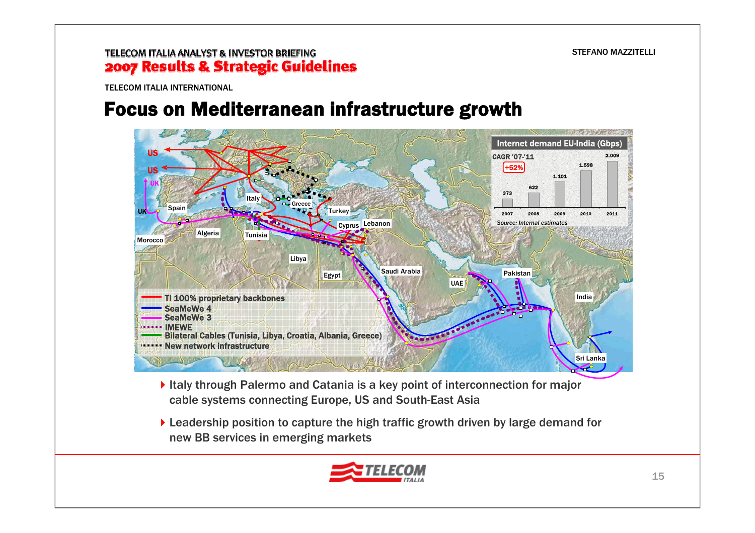TELECOM ITALIA INTERNATIONAL

# Focus on Mediterranean infrastructure growth



- Italy through Palermo and Catania is a key point of interconnection for major cable systems connecting Europe, US and South-East Asia
- ▶ Leadership position to capture the high traffic growth driven by large demand for new BB services in emerging markets